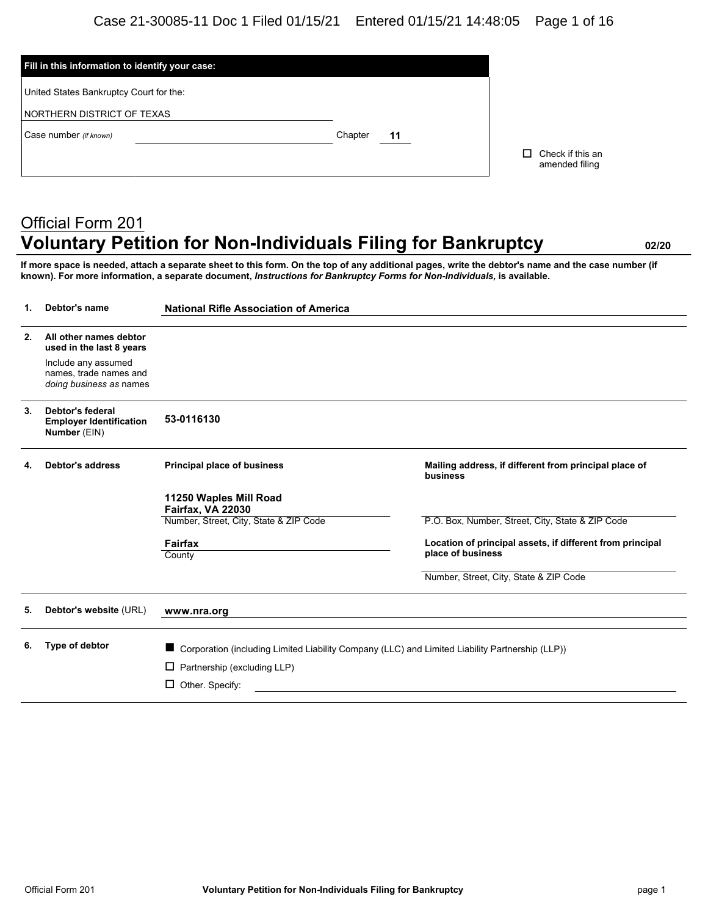| Fill in this information to identify your case: |         |    |                                         |
|-------------------------------------------------|---------|----|-----------------------------------------|
| United States Bankruptcy Court for the:         |         |    |                                         |
| NORTHERN DISTRICT OF TEXAS                      |         |    |                                         |
| Case number (if known)                          | Chapter | 11 |                                         |
|                                                 |         |    | Check if this an<br>□<br>amended filing |

# Official Form 201 **Voluntary Petition for Non-Individuals Filing for Bankruptcy 02/20**

**If more space is needed, attach a separate sheet to this form. On the top of any additional pages, write the debtor's name and the case number (if known). For more information, a separate document,** *Instructions for Bankruptcy Forms for Non-Individuals,* **is available.**

| 1. | Debtor's name                                                            | <b>National Rifle Association of America</b>                                                         |                                                                          |
|----|--------------------------------------------------------------------------|------------------------------------------------------------------------------------------------------|--------------------------------------------------------------------------|
| 2. | All other names debtor<br>used in the last 8 years                       |                                                                                                      |                                                                          |
|    | Include any assumed<br>names, trade names and<br>doing business as names |                                                                                                      |                                                                          |
| 3. | Debtor's federal<br><b>Employer Identification</b><br>Number (EIN)       | 53-0116130                                                                                           |                                                                          |
| 4. | <b>Debtor's address</b>                                                  | <b>Principal place of business</b>                                                                   | Mailing address, if different from principal place of<br><b>business</b> |
|    |                                                                          | 11250 Waples Mill Road<br><b>Fairfax, VA 22030</b>                                                   |                                                                          |
|    |                                                                          | Number, Street, City, State & ZIP Code                                                               | P.O. Box, Number, Street, City, State & ZIP Code                         |
|    |                                                                          | Fairfax                                                                                              | Location of principal assets, if different from principal                |
|    |                                                                          | County                                                                                               | place of business                                                        |
|    |                                                                          |                                                                                                      | Number, Street, City, State & ZIP Code                                   |
| 5. | Debtor's website (URL)                                                   | www.nra.org                                                                                          |                                                                          |
| 6. | Type of debtor                                                           | Corporation (including Limited Liability Company (LLC) and Limited Liability Partnership (LLP))<br>■ |                                                                          |
|    |                                                                          | Partnership (excluding LLP)<br>□                                                                     |                                                                          |
|    |                                                                          | $\Box$ Other. Specify:                                                                               |                                                                          |
|    |                                                                          |                                                                                                      |                                                                          |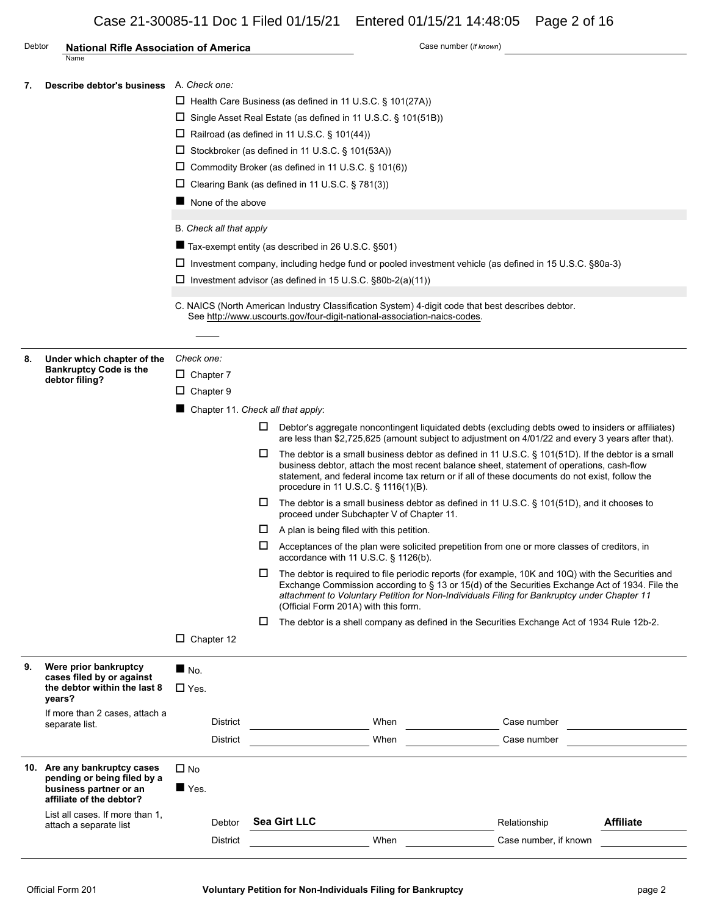| Debtor | <b>National Rifle Association of America</b>                        |                         |                                                         | Case number (if known)                                                                                                                                                                                                                                                                                                                    |                       |                  |  |  |
|--------|---------------------------------------------------------------------|-------------------------|---------------------------------------------------------|-------------------------------------------------------------------------------------------------------------------------------------------------------------------------------------------------------------------------------------------------------------------------------------------------------------------------------------------|-----------------------|------------------|--|--|
|        | Name                                                                |                         |                                                         |                                                                                                                                                                                                                                                                                                                                           |                       |                  |  |  |
| 7.     | Describe debtor's business A. Check one:                            |                         |                                                         |                                                                                                                                                                                                                                                                                                                                           |                       |                  |  |  |
|        |                                                                     |                         |                                                         | $\Box$ Health Care Business (as defined in 11 U.S.C. § 101(27A))                                                                                                                                                                                                                                                                          |                       |                  |  |  |
|        |                                                                     |                         |                                                         | $\Box$ Single Asset Real Estate (as defined in 11 U.S.C. § 101(51B))                                                                                                                                                                                                                                                                      |                       |                  |  |  |
|        |                                                                     |                         |                                                         | $\Box$ Railroad (as defined in 11 U.S.C. § 101(44))                                                                                                                                                                                                                                                                                       |                       |                  |  |  |
|        |                                                                     |                         |                                                         | $\Box$ Stockbroker (as defined in 11 U.S.C. § 101(53A))                                                                                                                                                                                                                                                                                   |                       |                  |  |  |
|        |                                                                     |                         | □ Commodity Broker (as defined in 11 U.S.C. § 101(6))   |                                                                                                                                                                                                                                                                                                                                           |                       |                  |  |  |
|        |                                                                     |                         |                                                         |                                                                                                                                                                                                                                                                                                                                           |                       |                  |  |  |
|        |                                                                     |                         | $\Box$ Clearing Bank (as defined in 11 U.S.C. § 781(3)) |                                                                                                                                                                                                                                                                                                                                           |                       |                  |  |  |
|        |                                                                     | None of the above       |                                                         |                                                                                                                                                                                                                                                                                                                                           |                       |                  |  |  |
|        |                                                                     | B. Check all that apply |                                                         |                                                                                                                                                                                                                                                                                                                                           |                       |                  |  |  |
|        |                                                                     |                         |                                                         | ■ Tax-exempt entity (as described in 26 U.S.C. §501)                                                                                                                                                                                                                                                                                      |                       |                  |  |  |
|        |                                                                     |                         |                                                         | □ Investment company, including hedge fund or pooled investment vehicle (as defined in 15 U.S.C. §80a-3)                                                                                                                                                                                                                                  |                       |                  |  |  |
|        |                                                                     |                         |                                                         | $\Box$ Investment advisor (as defined in 15 U.S.C. §80b-2(a)(11))                                                                                                                                                                                                                                                                         |                       |                  |  |  |
|        |                                                                     |                         |                                                         |                                                                                                                                                                                                                                                                                                                                           |                       |                  |  |  |
|        |                                                                     |                         |                                                         | C. NAICS (North American Industry Classification System) 4-digit code that best describes debtor.                                                                                                                                                                                                                                         |                       |                  |  |  |
|        |                                                                     |                         |                                                         | See http://www.uscourts.gov/four-digit-national-association-naics-codes.                                                                                                                                                                                                                                                                  |                       |                  |  |  |
|        |                                                                     |                         |                                                         |                                                                                                                                                                                                                                                                                                                                           |                       |                  |  |  |
| 8.     | Under which chapter of the                                          | Check one:              |                                                         |                                                                                                                                                                                                                                                                                                                                           |                       |                  |  |  |
|        | <b>Bankruptcy Code is the</b><br>debtor filing?                     | $\Box$ Chapter 7        |                                                         |                                                                                                                                                                                                                                                                                                                                           |                       |                  |  |  |
|        |                                                                     | $\Box$ Chapter 9        |                                                         |                                                                                                                                                                                                                                                                                                                                           |                       |                  |  |  |
|        |                                                                     |                         | Chapter 11. Check all that apply:                       |                                                                                                                                                                                                                                                                                                                                           |                       |                  |  |  |
|        |                                                                     |                         | Ц.                                                      | Debtor's aggregate noncontingent liquidated debts (excluding debts owed to insiders or affiliates)                                                                                                                                                                                                                                        |                       |                  |  |  |
|        |                                                                     |                         |                                                         | are less than \$2,725,625 (amount subject to adjustment on 4/01/22 and every 3 years after that).                                                                                                                                                                                                                                         |                       |                  |  |  |
|        |                                                                     |                         | ц.                                                      | The debtor is a small business debtor as defined in 11 U.S.C. § 101(51D). If the debtor is a small<br>business debtor, attach the most recent balance sheet, statement of operations, cash-flow<br>statement, and federal income tax return or if all of these documents do not exist, follow the<br>procedure in 11 U.S.C. § 1116(1)(B). |                       |                  |  |  |
|        |                                                                     |                         | ц.                                                      | The debtor is a small business debtor as defined in 11 U.S.C. $\S$ 101(51D), and it chooses to<br>proceed under Subchapter V of Chapter 11.                                                                                                                                                                                               |                       |                  |  |  |
|        |                                                                     |                         | ப                                                       | A plan is being filed with this petition.                                                                                                                                                                                                                                                                                                 |                       |                  |  |  |
|        |                                                                     |                         |                                                         | Acceptances of the plan were solicited prepetition from one or more classes of creditors, in<br>accordance with 11 U.S.C. § 1126(b).                                                                                                                                                                                                      |                       |                  |  |  |
|        |                                                                     |                         | ш.                                                      | The debtor is required to file periodic reports (for example, 10K and 10Q) with the Securities and                                                                                                                                                                                                                                        |                       |                  |  |  |
|        |                                                                     |                         |                                                         | Exchange Commission according to § 13 or 15(d) of the Securities Exchange Act of 1934. File the<br>attachment to Voluntary Petition for Non-Individuals Filing for Bankruptcy under Chapter 11<br>(Official Form 201A) with this form.                                                                                                    |                       |                  |  |  |
|        |                                                                     |                         | □                                                       | The debtor is a shell company as defined in the Securities Exchange Act of 1934 Rule 12b-2.                                                                                                                                                                                                                                               |                       |                  |  |  |
|        |                                                                     | $\Box$ Chapter 12       |                                                         |                                                                                                                                                                                                                                                                                                                                           |                       |                  |  |  |
| 9.     | Were prior bankruptcy                                               | $\blacksquare$ No.      |                                                         |                                                                                                                                                                                                                                                                                                                                           |                       |                  |  |  |
|        | cases filed by or against<br>the debtor within the last 8<br>years? | $\Box$ Yes.             |                                                         |                                                                                                                                                                                                                                                                                                                                           |                       |                  |  |  |
|        | If more than 2 cases, attach a                                      |                         |                                                         |                                                                                                                                                                                                                                                                                                                                           |                       |                  |  |  |
|        | separate list.                                                      | District                |                                                         | When                                                                                                                                                                                                                                                                                                                                      | Case number           |                  |  |  |
|        |                                                                     | District                |                                                         | When                                                                                                                                                                                                                                                                                                                                      | Case number           |                  |  |  |
|        | 10. Are any bankruptcy cases                                        | $\Box$ No               |                                                         |                                                                                                                                                                                                                                                                                                                                           |                       |                  |  |  |
|        | pending or being filed by a<br>business partner or an               | $\blacksquare$ Yes.     |                                                         |                                                                                                                                                                                                                                                                                                                                           |                       |                  |  |  |
|        | affiliate of the debtor?                                            |                         |                                                         |                                                                                                                                                                                                                                                                                                                                           |                       |                  |  |  |
|        | List all cases. If more than 1,<br>attach a separate list           | Debtor                  |                                                         | <b>Sea Girt LLC</b>                                                                                                                                                                                                                                                                                                                       | Relationship          | <b>Affiliate</b> |  |  |
|        |                                                                     | District                |                                                         | When                                                                                                                                                                                                                                                                                                                                      | Case number, if known |                  |  |  |
|        |                                                                     |                         |                                                         |                                                                                                                                                                                                                                                                                                                                           |                       |                  |  |  |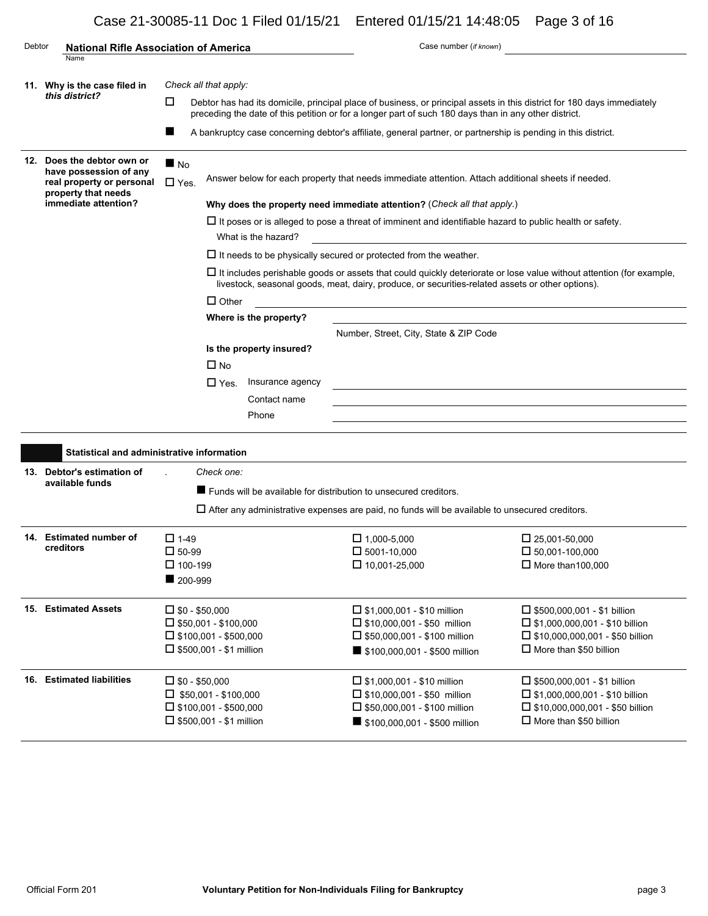| Debtor | <b>National Rifle Association of America</b><br>Name |                                                                                                                                                                                                                                       |                                                                                                                                                                                                                                |                          | Case number (if known)                                                                                        |                                        |  |  |  |
|--------|------------------------------------------------------|---------------------------------------------------------------------------------------------------------------------------------------------------------------------------------------------------------------------------------------|--------------------------------------------------------------------------------------------------------------------------------------------------------------------------------------------------------------------------------|--------------------------|---------------------------------------------------------------------------------------------------------------|----------------------------------------|--|--|--|
|        | 11. Why is the case filed in                         |                                                                                                                                                                                                                                       |                                                                                                                                                                                                                                |                          |                                                                                                               |                                        |  |  |  |
|        | this district?                                       |                                                                                                                                                                                                                                       | Check all that apply:                                                                                                                                                                                                          |                          |                                                                                                               |                                        |  |  |  |
|        |                                                      | □<br>Debtor has had its domicile, principal place of business, or principal assets in this district for 180 days immediately<br>preceding the date of this petition or for a longer part of such 180 days than in any other district. |                                                                                                                                                                                                                                |                          |                                                                                                               |                                        |  |  |  |
|        |                                                      |                                                                                                                                                                                                                                       |                                                                                                                                                                                                                                |                          | A bankruptcy case concerning debtor's affiliate, general partner, or partnership is pending in this district. |                                        |  |  |  |
|        | 12. Does the debtor own or                           | $\blacksquare$ No                                                                                                                                                                                                                     |                                                                                                                                                                                                                                |                          |                                                                                                               |                                        |  |  |  |
|        | have possession of any<br>real property or personal  | $\Box$ Yes.                                                                                                                                                                                                                           | Answer below for each property that needs immediate attention. Attach additional sheets if needed.                                                                                                                             |                          |                                                                                                               |                                        |  |  |  |
|        | property that needs<br>immediate attention?          |                                                                                                                                                                                                                                       | Why does the property need immediate attention? (Check all that apply.)                                                                                                                                                        |                          |                                                                                                               |                                        |  |  |  |
|        |                                                      |                                                                                                                                                                                                                                       | $\Box$ It poses or is alleged to pose a threat of imminent and identifiable hazard to public health or safety.                                                                                                                 |                          |                                                                                                               |                                        |  |  |  |
|        |                                                      |                                                                                                                                                                                                                                       | What is the hazard?                                                                                                                                                                                                            |                          |                                                                                                               |                                        |  |  |  |
|        |                                                      |                                                                                                                                                                                                                                       | $\Box$ It needs to be physically secured or protected from the weather.                                                                                                                                                        |                          |                                                                                                               |                                        |  |  |  |
|        |                                                      |                                                                                                                                                                                                                                       | $\Box$ It includes perishable goods or assets that could quickly deteriorate or lose value without attention (for example,<br>livestock, seasonal goods, meat, dairy, produce, or securities-related assets or other options). |                          |                                                                                                               |                                        |  |  |  |
|        |                                                      |                                                                                                                                                                                                                                       | $\Box$ Other<br><u> 1989 - Johann Stein, marking and de British and de British and de British and de British and de British and</u>                                                                                            |                          |                                                                                                               |                                        |  |  |  |
|        |                                                      | Where is the property?                                                                                                                                                                                                                |                                                                                                                                                                                                                                |                          |                                                                                                               |                                        |  |  |  |
|        |                                                      |                                                                                                                                                                                                                                       |                                                                                                                                                                                                                                |                          | Number, Street, City, State & ZIP Code                                                                        |                                        |  |  |  |
|        |                                                      |                                                                                                                                                                                                                                       |                                                                                                                                                                                                                                | Is the property insured? |                                                                                                               |                                        |  |  |  |
|        |                                                      |                                                                                                                                                                                                                                       | $\Box$ No                                                                                                                                                                                                                      |                          |                                                                                                               |                                        |  |  |  |
|        |                                                      |                                                                                                                                                                                                                                       | $\square$ Yes.                                                                                                                                                                                                                 | Insurance agency         |                                                                                                               |                                        |  |  |  |
|        |                                                      |                                                                                                                                                                                                                                       |                                                                                                                                                                                                                                | Contact name             |                                                                                                               |                                        |  |  |  |
|        |                                                      |                                                                                                                                                                                                                                       |                                                                                                                                                                                                                                | Phone                    |                                                                                                               |                                        |  |  |  |
|        |                                                      |                                                                                                                                                                                                                                       |                                                                                                                                                                                                                                |                          |                                                                                                               |                                        |  |  |  |
|        | Statistical and administrative information           |                                                                                                                                                                                                                                       |                                                                                                                                                                                                                                |                          |                                                                                                               |                                        |  |  |  |
|        | 13. Debtor's estimation of<br>available funds        |                                                                                                                                                                                                                                       | Check one:                                                                                                                                                                                                                     |                          |                                                                                                               |                                        |  |  |  |
|        |                                                      |                                                                                                                                                                                                                                       |                                                                                                                                                                                                                                |                          | ■ Funds will be available for distribution to unsecured creditors.                                            |                                        |  |  |  |
|        |                                                      |                                                                                                                                                                                                                                       |                                                                                                                                                                                                                                |                          | $\Box$ After any administrative expenses are paid, no funds will be available to unsecured creditors.         |                                        |  |  |  |
|        | 14. Estimated number of                              | $\Box$ 1-49                                                                                                                                                                                                                           |                                                                                                                                                                                                                                |                          | $\Box$ 1.000-5.000                                                                                            | $\Box$ 25,001-50,000                   |  |  |  |
|        | creditors                                            | $\square$ 50-99                                                                                                                                                                                                                       |                                                                                                                                                                                                                                |                          | $\square$ 5001-10,000                                                                                         | $\Box$ 50,001-100,000                  |  |  |  |
|        |                                                      | □ 100-199                                                                                                                                                                                                                             |                                                                                                                                                                                                                                |                          | $\Box$ 10,001-25,000                                                                                          | $\Box$ More than 100,000               |  |  |  |
|        |                                                      | ■ 200-999                                                                                                                                                                                                                             |                                                                                                                                                                                                                                |                          |                                                                                                               |                                        |  |  |  |
|        | 15. Estimated Assets                                 | $\square$ \$0 - \$50,000                                                                                                                                                                                                              |                                                                                                                                                                                                                                |                          | $\Box$ \$1,000,001 - \$10 million                                                                             | $\Box$ \$500,000,001 - \$1 billion     |  |  |  |
|        |                                                      | $\Box$ \$50,001 - \$100,000                                                                                                                                                                                                           |                                                                                                                                                                                                                                |                          | $\Box$ \$10,000,001 - \$50 million                                                                            | $\Box$ \$1,000,000,001 - \$10 billion  |  |  |  |
|        |                                                      | $\Box$ \$100,001 - \$500,000                                                                                                                                                                                                          |                                                                                                                                                                                                                                |                          | $\square$ \$50,000,001 - \$100 million                                                                        | $\Box$ \$10,000,000,001 - \$50 billion |  |  |  |
|        |                                                      | $\square$ \$500,001 - \$1 million                                                                                                                                                                                                     |                                                                                                                                                                                                                                |                          | \$100,000,001 - \$500 million                                                                                 | $\Box$ More than \$50 billion          |  |  |  |
|        | 16. Estimated liabilities                            | $\square$ \$0 - \$50,000                                                                                                                                                                                                              |                                                                                                                                                                                                                                |                          | $\Box$ \$1,000,001 - \$10 million                                                                             | $\Box$ \$500,000,001 - \$1 billion     |  |  |  |
|        |                                                      | $\Box$ \$50,001 - \$100,000                                                                                                                                                                                                           |                                                                                                                                                                                                                                |                          | $\Box$ \$10,000,001 - \$50 million                                                                            | $\Box$ \$1,000,000,001 - \$10 billion  |  |  |  |
|        |                                                      | $\Box$ \$100,001 - \$500,000                                                                                                                                                                                                          |                                                                                                                                                                                                                                |                          | $\Box$ \$50,000,001 - \$100 million                                                                           | $\Box$ \$10,000,000,001 - \$50 billion |  |  |  |
|        |                                                      | $\Box$ \$500,001 - \$1 million                                                                                                                                                                                                        |                                                                                                                                                                                                                                |                          | \$100,000,001 - \$500 million                                                                                 | $\Box$ More than \$50 billion          |  |  |  |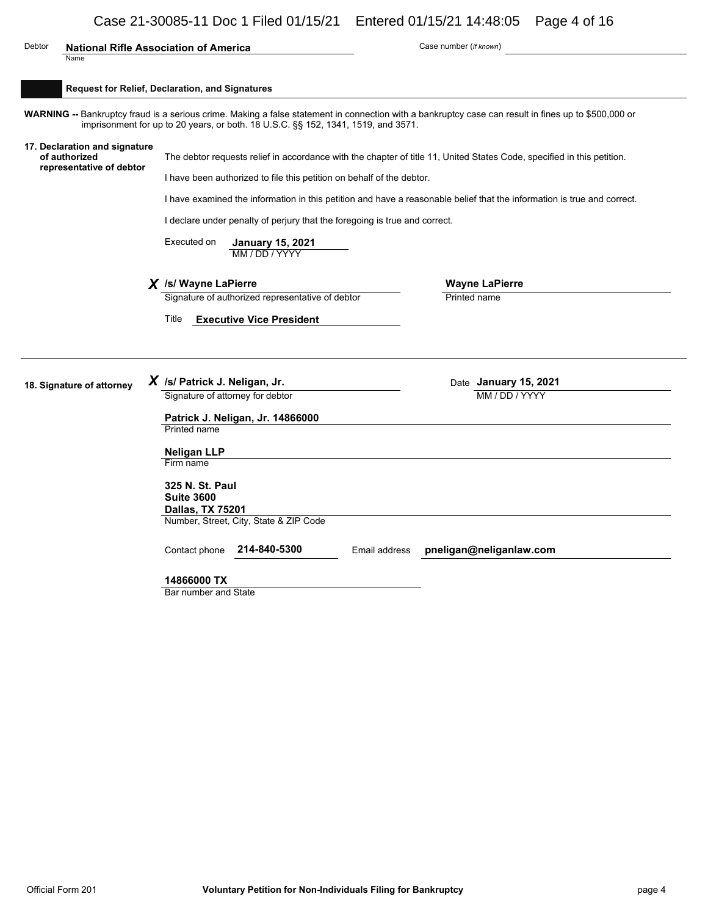|                                                                            |                                                                            |                                                                                   |                                                                                                                        | Case 21-30085-11 DOC 1 Filed 01/15/21 Entered 01/15/21 14:48:05 Page 4 of 16                                                                         |  |  |  |  |  |
|----------------------------------------------------------------------------|----------------------------------------------------------------------------|-----------------------------------------------------------------------------------|------------------------------------------------------------------------------------------------------------------------|------------------------------------------------------------------------------------------------------------------------------------------------------|--|--|--|--|--|
| Debtor                                                                     |                                                                            | <b>National Rifle Association of America</b>                                      |                                                                                                                        | Case number (if known)                                                                                                                               |  |  |  |  |  |
|                                                                            | Name                                                                       |                                                                                   |                                                                                                                        |                                                                                                                                                      |  |  |  |  |  |
|                                                                            |                                                                            | Request for Relief, Declaration, and Signatures                                   |                                                                                                                        |                                                                                                                                                      |  |  |  |  |  |
|                                                                            |                                                                            |                                                                                   |                                                                                                                        |                                                                                                                                                      |  |  |  |  |  |
|                                                                            |                                                                            | imprisonment for up to 20 years, or both. 18 U.S.C. §§ 152, 1341, 1519, and 3571. |                                                                                                                        | WARNING -- Bankruptcy fraud is a serious crime. Making a false statement in connection with a bankruptcy case can result in fines up to \$500,000 or |  |  |  |  |  |
|                                                                            | 17. Declaration and signature<br>of authorized<br>representative of debtor |                                                                                   | The debtor requests relief in accordance with the chapter of title 11, United States Code, specified in this petition. |                                                                                                                                                      |  |  |  |  |  |
|                                                                            |                                                                            | I have been authorized to file this petition on behalf of the debtor.             |                                                                                                                        |                                                                                                                                                      |  |  |  |  |  |
|                                                                            |                                                                            |                                                                                   |                                                                                                                        | I have examined the information in this petition and have a reasonable belief that the information is true and correct.                              |  |  |  |  |  |
| I declare under penalty of perjury that the foregoing is true and correct. |                                                                            |                                                                                   |                                                                                                                        |                                                                                                                                                      |  |  |  |  |  |
|                                                                            |                                                                            | Executed on<br><b>January 15, 2021</b>                                            |                                                                                                                        |                                                                                                                                                      |  |  |  |  |  |
|                                                                            |                                                                            | MM / DD / YYYY                                                                    |                                                                                                                        |                                                                                                                                                      |  |  |  |  |  |
|                                                                            |                                                                            | X /s/ Wayne LaPierre                                                              |                                                                                                                        | <b>Wayne LaPierre</b>                                                                                                                                |  |  |  |  |  |
|                                                                            |                                                                            | Signature of authorized representative of debtor                                  |                                                                                                                        | Printed name                                                                                                                                         |  |  |  |  |  |
|                                                                            |                                                                            | Title<br><b>Executive Vice President</b>                                          |                                                                                                                        |                                                                                                                                                      |  |  |  |  |  |
|                                                                            |                                                                            |                                                                                   |                                                                                                                        |                                                                                                                                                      |  |  |  |  |  |
|                                                                            |                                                                            |                                                                                   |                                                                                                                        |                                                                                                                                                      |  |  |  |  |  |
|                                                                            |                                                                            |                                                                                   |                                                                                                                        |                                                                                                                                                      |  |  |  |  |  |
|                                                                            | 18. Signature of attorney                                                  | $X$ /s/ Patrick J. Neligan, Jr.                                                   |                                                                                                                        | Date January 15, 2021                                                                                                                                |  |  |  |  |  |
|                                                                            |                                                                            | Signature of attorney for debtor                                                  |                                                                                                                        | MM / DD / YYYY                                                                                                                                       |  |  |  |  |  |
|                                                                            |                                                                            | Patrick J. Neligan, Jr. 14866000                                                  |                                                                                                                        |                                                                                                                                                      |  |  |  |  |  |
|                                                                            |                                                                            | Printed name                                                                      |                                                                                                                        |                                                                                                                                                      |  |  |  |  |  |
|                                                                            |                                                                            | <b>Neligan LLP</b>                                                                |                                                                                                                        |                                                                                                                                                      |  |  |  |  |  |
|                                                                            |                                                                            | Firm name                                                                         |                                                                                                                        |                                                                                                                                                      |  |  |  |  |  |
|                                                                            |                                                                            | 325 N. St. Paul                                                                   |                                                                                                                        |                                                                                                                                                      |  |  |  |  |  |
|                                                                            |                                                                            | <b>Suite 3600</b>                                                                 |                                                                                                                        |                                                                                                                                                      |  |  |  |  |  |
|                                                                            |                                                                            | <b>Dallas, TX 75201</b>                                                           |                                                                                                                        |                                                                                                                                                      |  |  |  |  |  |
|                                                                            |                                                                            | Number, Street, City, State & ZIP Code                                            |                                                                                                                        |                                                                                                                                                      |  |  |  |  |  |
|                                                                            |                                                                            | 214-840-5300<br>Contact phone                                                     | Email address                                                                                                          | pneligan@neliganlaw.com                                                                                                                              |  |  |  |  |  |
|                                                                            |                                                                            |                                                                                   |                                                                                                                        |                                                                                                                                                      |  |  |  |  |  |
|                                                                            |                                                                            | 14866000 TX<br>Bar number and State                                               |                                                                                                                        |                                                                                                                                                      |  |  |  |  |  |
|                                                                            |                                                                            |                                                                                   |                                                                                                                        |                                                                                                                                                      |  |  |  |  |  |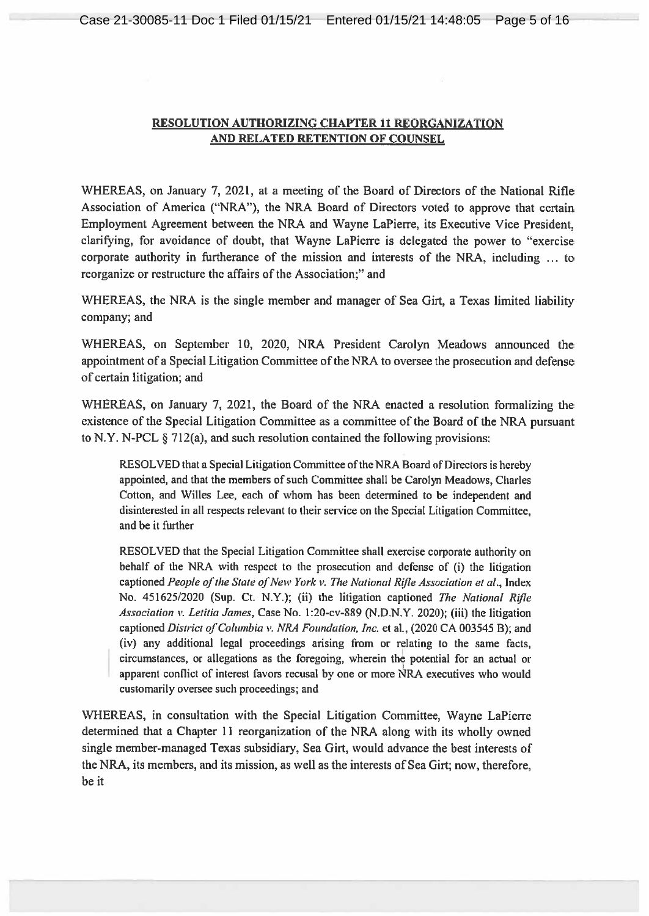## **RESOLUTION AUTHORIZING CHAPTER 11 REORGANIZATION** AND RELATED RETENTION OF COUNSEL

WHEREAS, on January 7, 2021, at a meeting of the Board of Directors of the National Rifle Association of America ("NRA"), the NRA Board of Directors voted to approve that certain Employment Agreement between the NRA and Wayne LaPierre, its Executive Vice President. clarifying, for avoidance of doubt, that Wayne LaPierre is delegated the power to "exercise" corporate authority in furtherance of the mission and interests of the NRA, including ... to reorganize or restructure the affairs of the Association;" and

WHEREAS, the NRA is the single member and manager of Sea Girt, a Texas limited liability company; and

WHEREAS, on September 10, 2020, NRA President Carolyn Meadows announced the appointment of a Special Litigation Committee of the NRA to oversee the prosecution and defense of certain litigation; and

WHEREAS, on January 7, 2021, the Board of the NRA enacted a resolution formalizing the existence of the Special Litigation Committee as a committee of the Board of the NRA pursuant to N.Y. N-PCL  $\S$  712(a), and such resolution contained the following provisions:

RESOLVED that a Special Litigation Committee of the NRA Board of Directors is hereby appointed, and that the members of such Committee shall be Carolyn Meadows, Charles Cotton, and Willes Lee, each of whom has been determined to be independent and disinterested in all respects relevant to their service on the Special Litigation Committee. and be it further

RESOLVED that the Special Litigation Committee shall exercise corporate authority on behalf of the NRA with respect to the prosecution and defense of (i) the litigation captioned People of the State of New York v. The National Rifle Association et al., Index No. 451625/2020 (Sup. Ct. N.Y.); (ii) the litigation captioned The National Rifle Association v. Letitia James, Case No. 1:20-cv-889 (N.D.N.Y. 2020); (iii) the litigation captioned District of Columbia v. NRA Foundation, Inc. et al., (2020 CA 003545 B); and (iv) any additional legal proceedings arising from or relating to the same facts, circumstances, or allegations as the foregoing, wherein the potential for an actual or apparent conflict of interest favors recusal by one or more  $NRA$  executives who would customarily oversee such proceedings; and

WHEREAS, in consultation with the Special Litigation Committee, Wayne LaPierre determined that a Chapter 11 reorganization of the NRA along with its wholly owned single member-managed Texas subsidiary, Sea Girt, would advance the best interests of the NRA, its members, and its mission, as well as the interests of Sea Girt; now, therefore, he it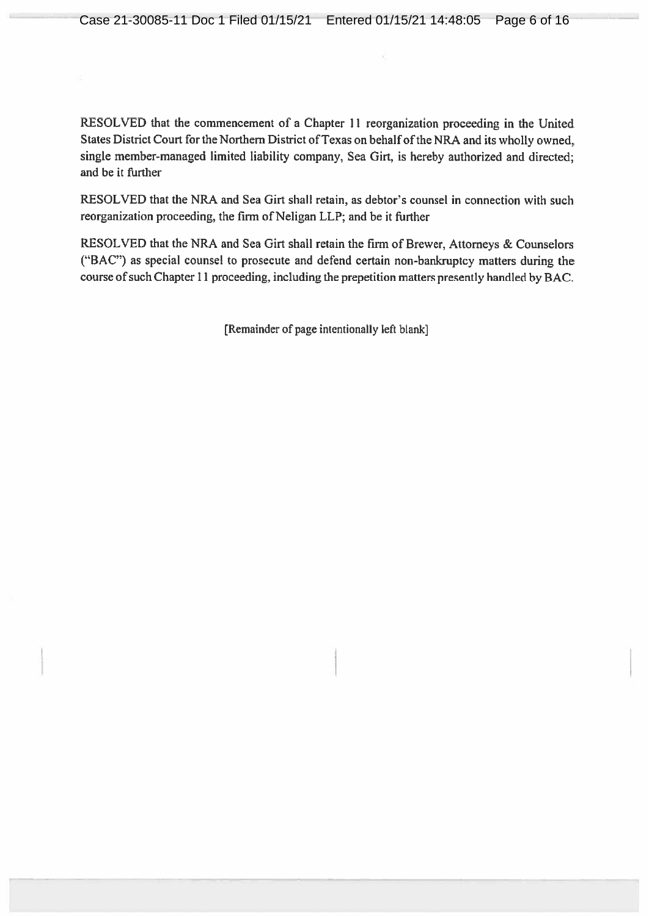RESOLVED that the commencement of a Chapter 11 reorganization proceeding in the United States District Court for the Northern District of Texas on behalf of the NRA and its wholly owned, single member-managed limited liability company, Sea Girt, is hereby authorized and directed; and be it further

RESOLVED that the NRA and Sea Girt shall retain, as debtor's counsel in connection with such reorganization proceeding, the firm of Neligan LLP; and be it further

RESOLVED that the NRA and Sea Girt shall retain the firm of Brewer, Attorneys & Counselors ("BAC") as special counsel to prosecute and defend certain non-bankruptcy matters during the course of such Chapter 11 proceeding, including the prepetition matters presently handled by BAC.

[Remainder of page intentionally left blank]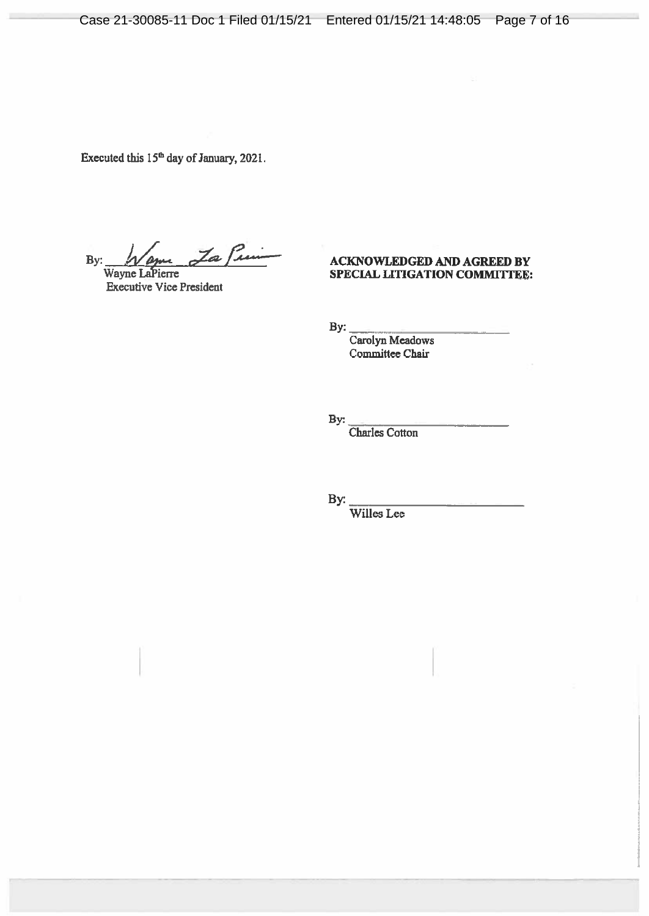Ta Pu By:

Wayne LaPierre **Executive Vice President** 

### **ACKNOWLEDGED AND AGREED BY** SPECIAL LITIGATION COMMITTEE:

By:

Carolyn Meadows Committee Chair

By:

**Charles Cotton** 

By:

Willes Lee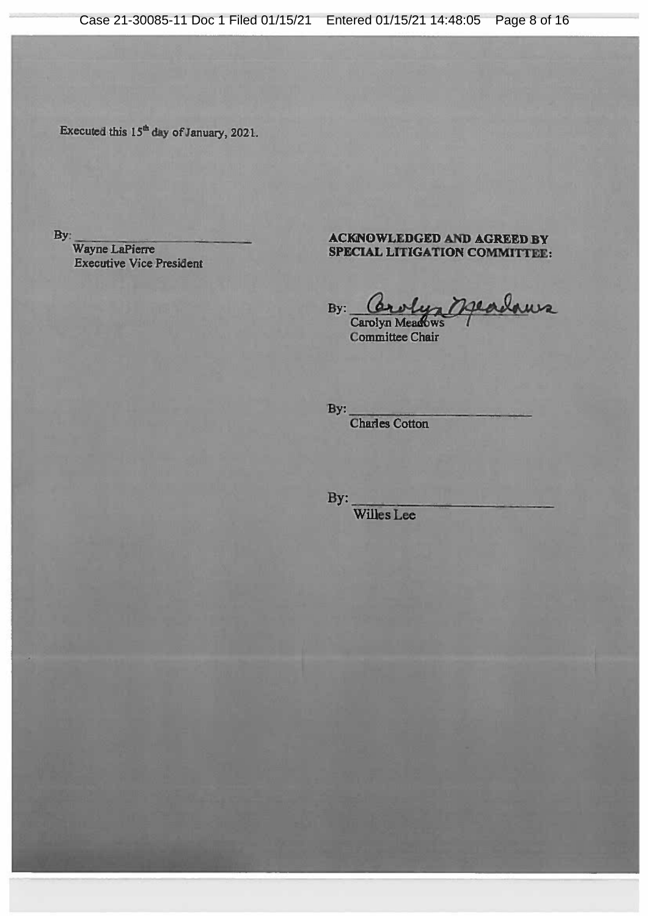By:

Wayne LaPierre **Executive Vice President** 

## **ACKNOWLEDGED AND AGREED BY SPECIAL LITIGATION COMMITTEE:**

By: Carolyn Meadows

**Committee Chair** 

By: Charles Cotton

By:

Willes Lee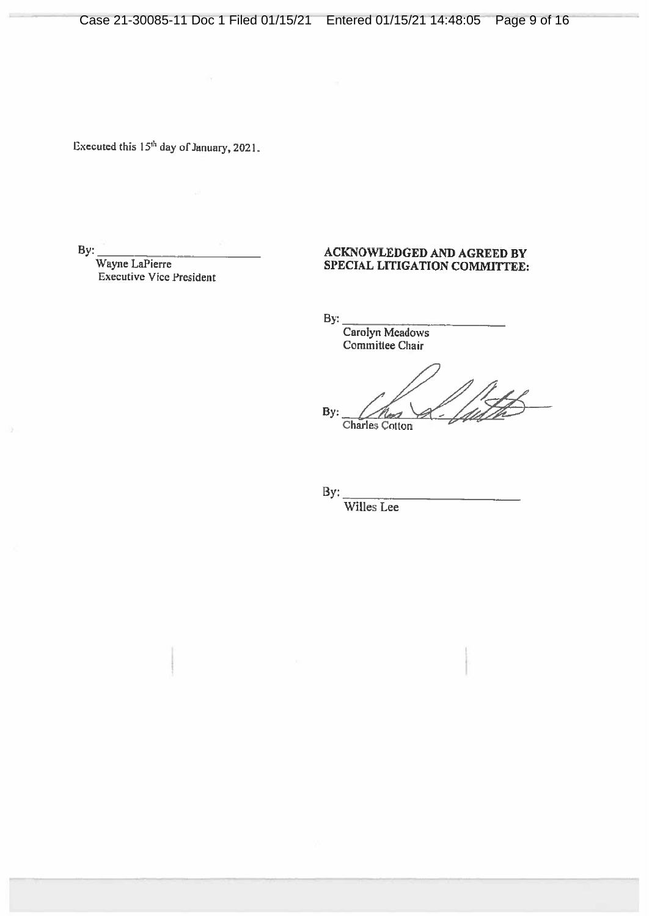By:

Wayne LaPierre Executive Vice President

## **ACKNOWLEDGED AND AGREED BY** SPECIAL LITIGATION COMMITTEE:

By: Carolyn Meadows<br>Committee Chair By:

**Charles Cotton** 

By: Willes Lee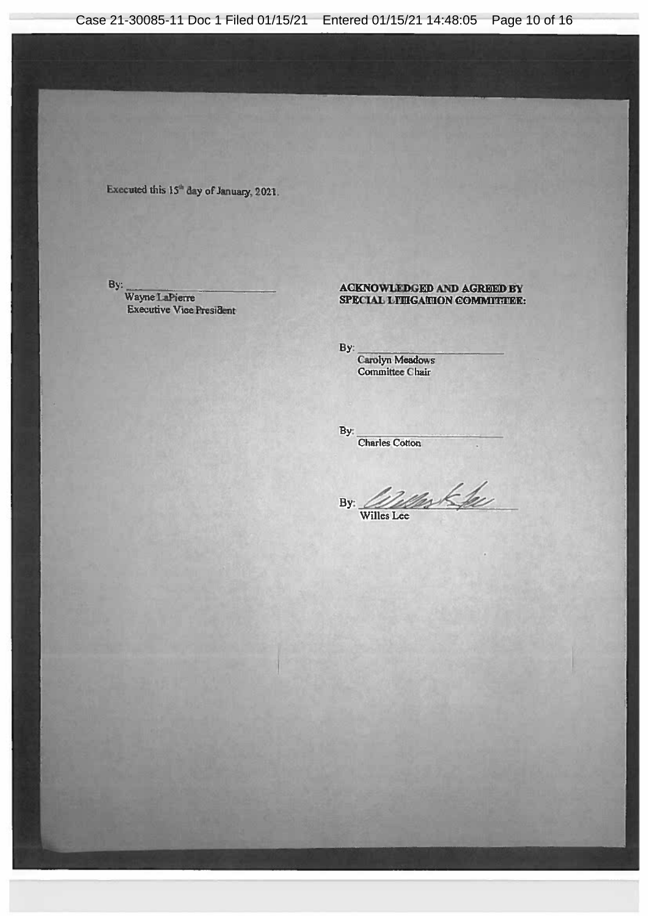By:

Wayne LaPierre **Executive Vice President** 

### **ACKNOWLEDGED AND AGREED BY** SPECIAL LITIIGATION COMMITTEE:

By:

Carolyn Meadows Committee Chair

By: **Charles Cotton** 

Les Mark By:  $\epsilon$ Willes Lee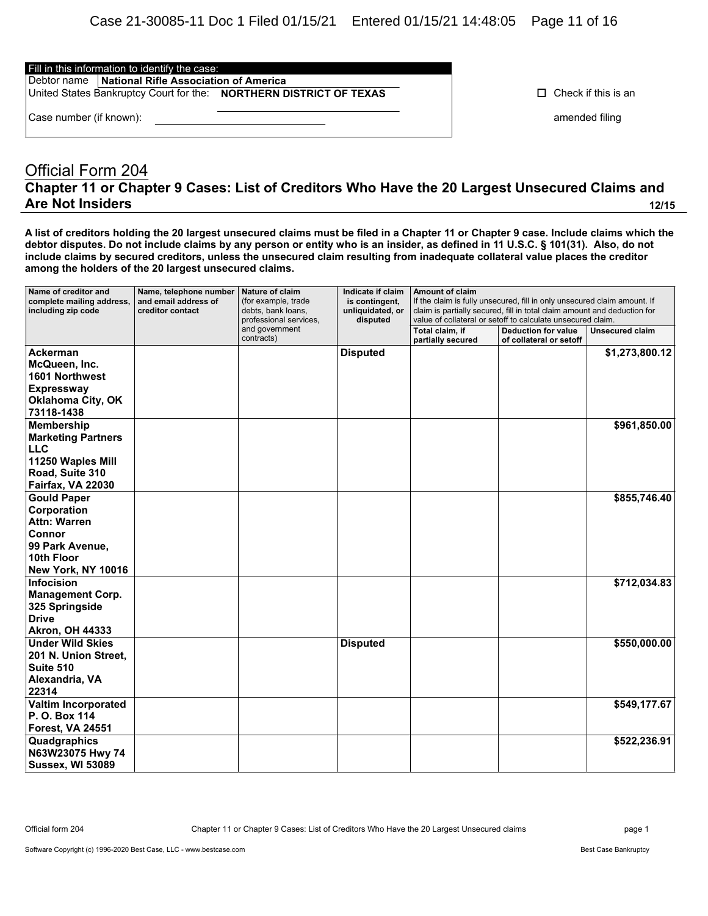### Fill in this information to identify the case:

Debtor name **National Rifle Association of America** United States Bankruptcy Court for the: **NORTHERN DISTRICT OF TEXAS**  $\Box$  Check if this is an

Case number (if known): **amended filing**  $\overline{\phantom{a}}$  amended filing

# Official Form 204 **Chapter 11 or Chapter 9 Cases: List of Creditors Who Have the 20 Largest Unsecured Claims and Are Not Insiders 12/15**

**A list of creditors holding the 20 largest unsecured claims must be filed in a Chapter 11 or Chapter 9 case. Include claims which the debtor disputes. Do not include claims by any person or entity who is an insider, as defined in 11 U.S.C. § 101(31). Also, do not include claims by secured creditors, unless the unsecured claim resulting from inadequate collateral value places the creditor among the holders of the 20 largest unsecured claims.**

| Name of creditor and<br>complete mailing address,<br>including zip code                                                          | Name, telephone number<br>and email address of<br>creditor contact | Nature of claim<br>(for example, trade<br>debts, bank loans,<br>professional services, | Indicate if claim<br>is contingent,<br>unliquidated, or<br>disputed | Amount of claim                      | If the claim is fully unsecured, fill in only unsecured claim amount. If<br>claim is partially secured, fill in total claim amount and deduction for<br>value of collateral or setoff to calculate unsecured claim. |                        |
|----------------------------------------------------------------------------------------------------------------------------------|--------------------------------------------------------------------|----------------------------------------------------------------------------------------|---------------------------------------------------------------------|--------------------------------------|---------------------------------------------------------------------------------------------------------------------------------------------------------------------------------------------------------------------|------------------------|
|                                                                                                                                  |                                                                    | and government<br>contracts)                                                           |                                                                     | Total claim, if<br>partially secured | <b>Deduction for value</b><br>of collateral or setoff                                                                                                                                                               | <b>Unsecured claim</b> |
| Ackerman<br>McQueen, Inc.<br>1601 Northwest<br><b>Expressway</b><br><b>Oklahoma City, OK</b><br>73118-1438                       |                                                                    |                                                                                        | <b>Disputed</b>                                                     |                                      |                                                                                                                                                                                                                     | \$1,273,800.12         |
| <b>Membership</b><br><b>Marketing Partners</b><br><b>LLC</b><br>11250 Waples Mill<br>Road, Suite 310<br><b>Fairfax, VA 22030</b> |                                                                    |                                                                                        |                                                                     |                                      |                                                                                                                                                                                                                     | \$961,850.00           |
| <b>Gould Paper</b><br>Corporation<br><b>Attn: Warren</b><br>Connor<br>99 Park Avenue,<br>10th Floor<br>New York, NY 10016        |                                                                    |                                                                                        |                                                                     |                                      |                                                                                                                                                                                                                     | \$855,746.40           |
| <b>Infocision</b><br><b>Management Corp.</b><br>325 Springside<br><b>Drive</b><br><b>Akron, OH 44333</b>                         |                                                                    |                                                                                        |                                                                     |                                      |                                                                                                                                                                                                                     | \$712,034.83           |
| <b>Under Wild Skies</b><br>201 N. Union Street,<br>Suite 510<br>Alexandria, VA<br>22314                                          |                                                                    |                                                                                        | <b>Disputed</b>                                                     |                                      |                                                                                                                                                                                                                     | \$550,000.00           |
| <b>Valtim Incorporated</b><br>P. O. Box 114<br><b>Forest, VA 24551</b>                                                           |                                                                    |                                                                                        |                                                                     |                                      |                                                                                                                                                                                                                     | \$549,177.67           |
| Quadgraphics<br>N63W23075 Hwy 74<br><b>Sussex, WI 53089</b>                                                                      |                                                                    |                                                                                        |                                                                     |                                      |                                                                                                                                                                                                                     | \$522,236.91           |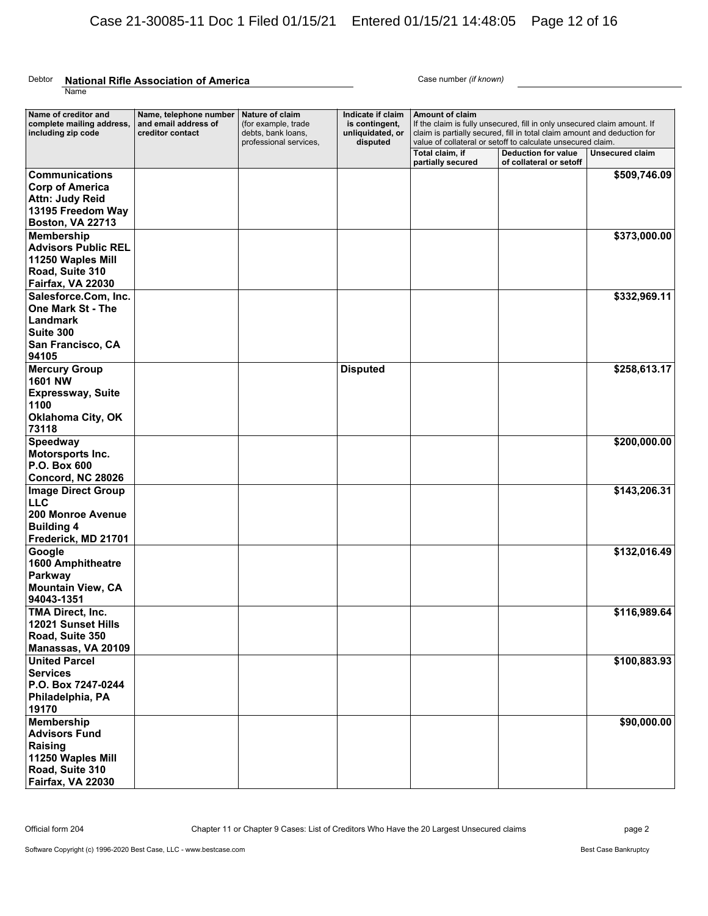### Debtor **National Rifle Association of America** Case number *(if known)* Name

| Name of creditor and<br>complete mailing address,<br>including zip code                                             | Name, telephone number<br>and email address of<br>creditor contact | Nature of claim<br>(for example, trade<br>debts, bank loans,<br>professional services, | Indicate if claim<br>is contingent,<br>unliquidated, or<br>disputed | Amount of claim<br>If the claim is fully unsecured, fill in only unsecured claim amount. If<br>claim is partially secured, fill in total claim amount and deduction for<br>value of collateral or setoff to calculate unsecured claim. |                                                       |                        |  |
|---------------------------------------------------------------------------------------------------------------------|--------------------------------------------------------------------|----------------------------------------------------------------------------------------|---------------------------------------------------------------------|----------------------------------------------------------------------------------------------------------------------------------------------------------------------------------------------------------------------------------------|-------------------------------------------------------|------------------------|--|
|                                                                                                                     |                                                                    |                                                                                        |                                                                     | Total claim, if<br>partially secured                                                                                                                                                                                                   | <b>Deduction for value</b><br>of collateral or setoff | <b>Unsecured claim</b> |  |
| <b>Communications</b><br><b>Corp of America</b><br>Attn: Judy Reid<br>13195 Freedom Way<br><b>Boston, VA 22713</b>  |                                                                    |                                                                                        |                                                                     |                                                                                                                                                                                                                                        |                                                       | \$509,746.09           |  |
| <b>Membership</b><br><b>Advisors Public REL</b><br>11250 Waples Mill<br>Road, Suite 310<br><b>Fairfax, VA 22030</b> |                                                                    |                                                                                        |                                                                     |                                                                                                                                                                                                                                        |                                                       | \$373,000.00           |  |
| Salesforce.Com, Inc.<br><b>One Mark St - The</b><br>Landmark<br>Suite 300<br>San Francisco, CA<br>94105             |                                                                    |                                                                                        |                                                                     |                                                                                                                                                                                                                                        |                                                       | \$332,969.11           |  |
| <b>Mercury Group</b><br><b>1601 NW</b><br><b>Expressway, Suite</b><br>1100<br><b>Oklahoma City, OK</b><br>73118     |                                                                    |                                                                                        | <b>Disputed</b>                                                     |                                                                                                                                                                                                                                        |                                                       | \$258,613.17           |  |
| Speedway<br>Motorsports Inc.<br>P.O. Box 600<br>Concord, NC 28026                                                   |                                                                    |                                                                                        |                                                                     |                                                                                                                                                                                                                                        |                                                       | \$200,000.00           |  |
| <b>Image Direct Group</b><br><b>LLC</b><br>200 Monroe Avenue<br><b>Building 4</b><br>Frederick, MD 21701            |                                                                    |                                                                                        |                                                                     |                                                                                                                                                                                                                                        |                                                       | \$143,206.31           |  |
| Google<br>1600 Amphitheatre<br>Parkway<br><b>Mountain View, CA</b><br>94043-1351                                    |                                                                    |                                                                                        |                                                                     |                                                                                                                                                                                                                                        |                                                       | \$132,016.49           |  |
| TMA Direct, Inc.<br>12021 Sunset Hills<br>Road, Suite 350<br>Manassas, VA 20109                                     |                                                                    |                                                                                        |                                                                     |                                                                                                                                                                                                                                        |                                                       | \$116,989.64           |  |
| <b>United Parcel</b><br><b>Services</b><br>P.O. Box 7247-0244<br>Philadelphia, PA<br>19170                          |                                                                    |                                                                                        |                                                                     |                                                                                                                                                                                                                                        |                                                       | \$100,883.93           |  |
| <b>Membership</b><br><b>Advisors Fund</b><br>Raising<br>11250 Waples Mill<br>Road, Suite 310<br>Fairfax, VA 22030   |                                                                    |                                                                                        |                                                                     |                                                                                                                                                                                                                                        |                                                       | \$90,000.00            |  |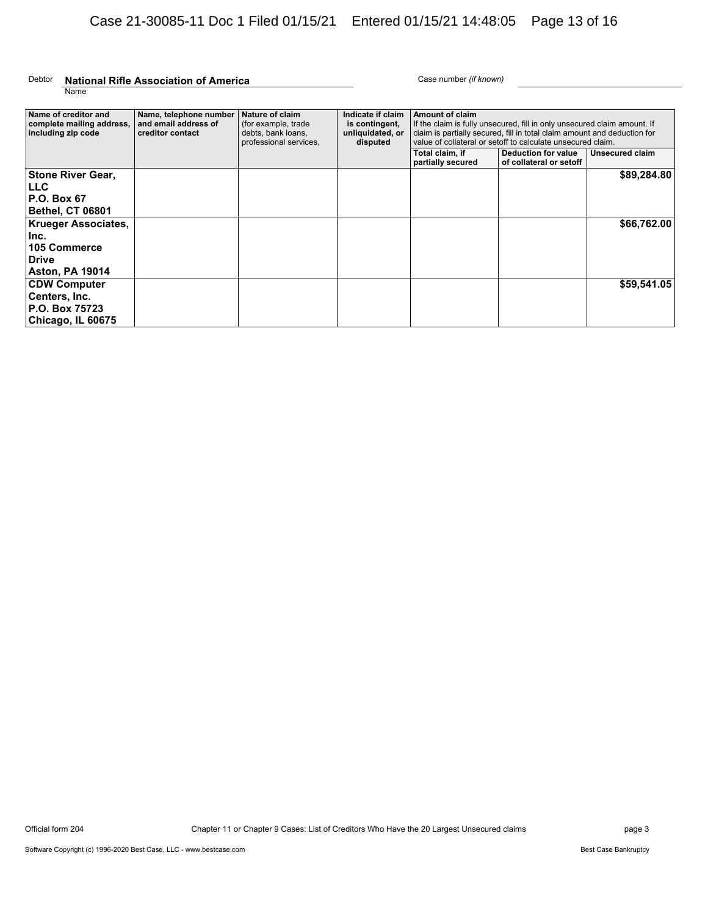### Debtor **National Rifle Association of America** Case number *(if known)* Name

| Name of creditor and<br>complete mailing address,<br>including zip code                      | Name, telephone number<br>and email address of<br>creditor contact | Nature of claim<br>(for example, trade<br>debts, bank loans,<br>professional services, | Indicate if claim<br>is contingent.<br>unliquidated, or<br>disputed | <b>Amount of claim</b>               | If the claim is fully unsecured, fill in only unsecured claim amount. If<br>claim is partially secured, fill in total claim amount and deduction for<br>value of collateral or setoff to calculate unsecured claim. |                        |
|----------------------------------------------------------------------------------------------|--------------------------------------------------------------------|----------------------------------------------------------------------------------------|---------------------------------------------------------------------|--------------------------------------|---------------------------------------------------------------------------------------------------------------------------------------------------------------------------------------------------------------------|------------------------|
|                                                                                              |                                                                    |                                                                                        |                                                                     | Total claim, if<br>partially secured | <b>Deduction for value</b><br>of collateral or setoff                                                                                                                                                               | <b>Unsecured claim</b> |
| <b>Stone River Gear,</b><br>LLC.<br>P.O. Box 67<br><b>Bethel, CT 06801</b>                   |                                                                    |                                                                                        |                                                                     |                                      |                                                                                                                                                                                                                     | \$89,284.80            |
| <b>Krueger Associates,</b><br>Inc.<br>105 Commerce<br><b>Drive</b><br><b>Aston, PA 19014</b> |                                                                    |                                                                                        |                                                                     |                                      |                                                                                                                                                                                                                     | \$66,762.00            |
| <b>CDW Computer</b><br>Centers, Inc.<br>P.O. Box 75723<br>Chicago, IL 60675                  |                                                                    |                                                                                        |                                                                     |                                      |                                                                                                                                                                                                                     | \$59,541.05            |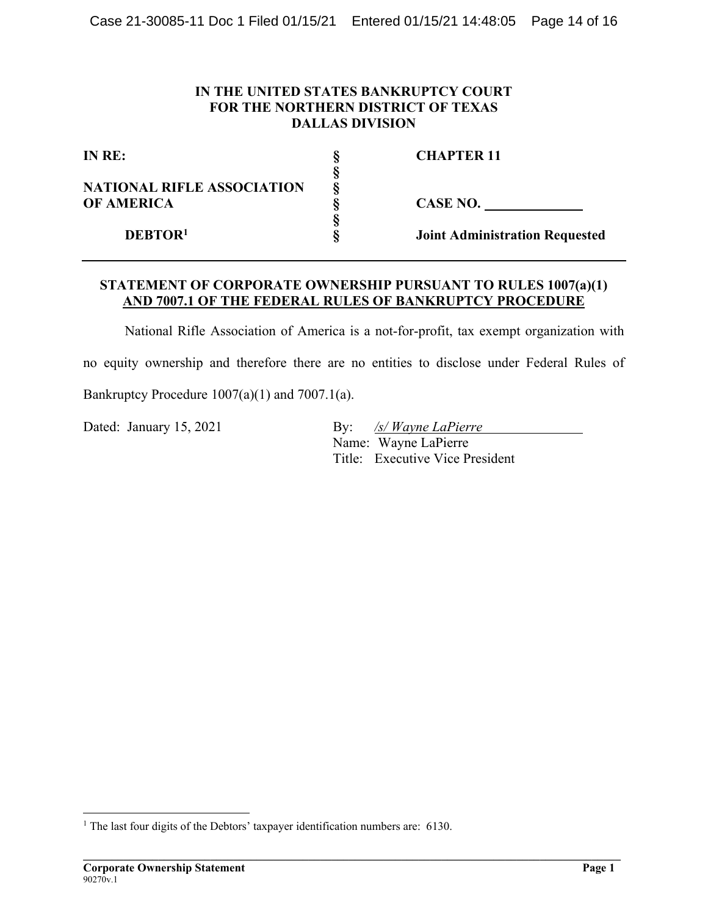## **IN THE UNITED STATES BANKRUPTCY COURT FOR THE NORTHERN DISTRICT OF TEXAS DALLAS DIVISION**

| IN RE:                            | <b>CHAPTER 11</b>                     |
|-----------------------------------|---------------------------------------|
|                                   |                                       |
| <b>NATIONAL RIFLE ASSOCIATION</b> |                                       |
| <b>OF AMERICA</b>                 | CASE NO.                              |
|                                   |                                       |
| DEBTOR <sup>1</sup>               | <b>Joint Administration Requested</b> |

## **STATEMENT OF CORPORATE OWNERSHIP PURSUANT TO RULES 1007(a)(1) AND 7007.1 OF THE FEDERAL RULES OF BANKRUPTCY PROCEDURE**

National Rifle Association of America is a not-for-profit, tax exempt organization with

no equity ownership and therefore there are no entities to disclose under Federal Rules of

Bankruptcy Procedure 1007(a)(1) and 7007.1(a).

| Dated: January 15, 2021 | By: $\frac{s}{W}$ <i>Nayne LaPierre</i> |
|-------------------------|-----------------------------------------|
|                         | Name: Wayne LaPierre                    |

Title: Executive Vice President

<sup>&</sup>lt;sup>1</sup> The last four digits of the Debtors' taxpayer identification numbers are: 6130.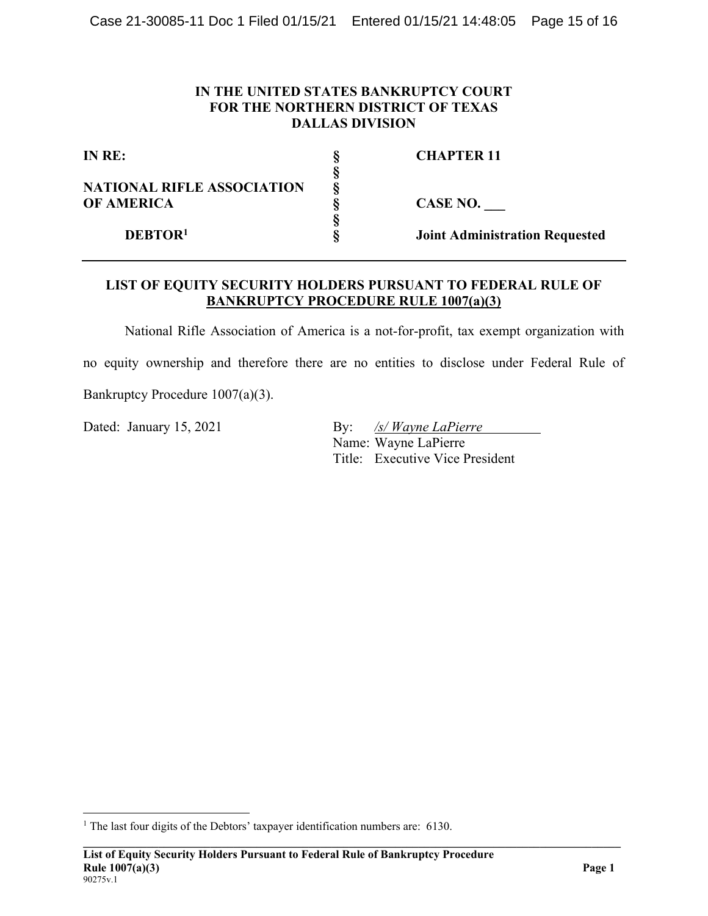## **IN THE UNITED STATES BANKRUPTCY COURT FOR THE NORTHERN DISTRICT OF TEXAS DALLAS DIVISION**

| <b>CHAPTER 11</b>                     |
|---------------------------------------|
|                                       |
|                                       |
| CASE NO.                              |
|                                       |
| <b>Joint Administration Requested</b> |
|                                       |

## **LIST OF EQUITY SECURITY HOLDERS PURSUANT TO FEDERAL RULE OF BANKRUPTCY PROCEDURE RULE 1007(a)(3)**

National Rifle Association of America is a not-for-profit, tax exempt organization with

no equity ownership and therefore there are no entities to disclose under Federal Rule of

Bankruptcy Procedure 1007(a)(3).

| Dated: January 15, 2021 | By: $\frac{S}{W}$ <i>Nayne LaPierre</i> |
|-------------------------|-----------------------------------------|
|                         | Name: Wayne LaPierre                    |
|                         | Title: Executive Vice President         |

**\_\_\_\_\_\_\_\_\_\_\_\_\_\_\_\_\_\_\_\_\_\_\_\_\_\_\_\_\_\_\_\_\_\_\_\_\_\_\_\_\_\_\_\_\_\_\_\_\_\_\_\_\_\_\_\_\_\_\_\_\_\_\_\_\_\_\_\_\_\_\_\_\_\_\_\_\_\_\_\_\_\_\_\_\_\_\_\_\_\_\_\_\_** 

<sup>&</sup>lt;sup>1</sup> The last four digits of the Debtors' taxpayer identification numbers are: 6130.